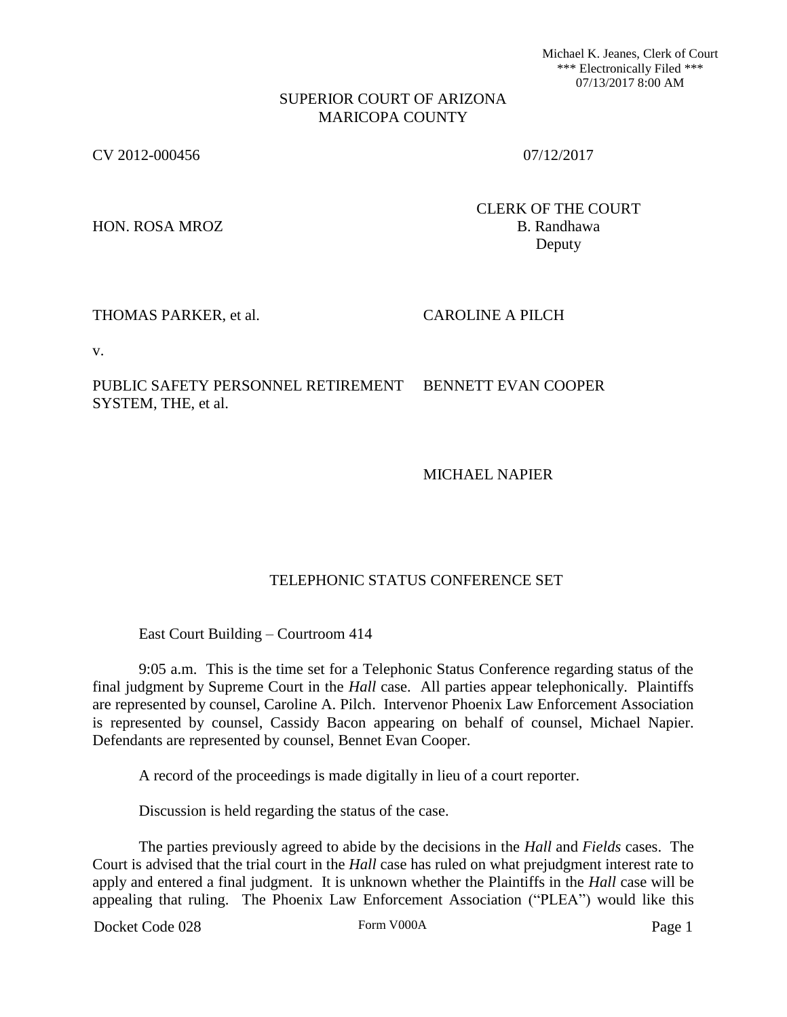Michael K. Jeanes, Clerk of Court \*\*\* Electronically Filed \*\*\* 07/13/2017 8:00 AM

### SUPERIOR COURT OF ARIZONA MARICOPA COUNTY

CV 2012-000456 07/12/2017

HON. ROSA MROZ B. Randhawa

CLERK OF THE COURT Deputy

## THOMAS PARKER, et al. CAROLINE A PILCH

v.

PUBLIC SAFETY PERSONNEL RETIREMENT SYSTEM, THE, et al. BENNETT EVAN COOPER

MICHAEL NAPIER

# TELEPHONIC STATUS CONFERENCE SET

East Court Building – Courtroom 414

9:05 a.m. This is the time set for a Telephonic Status Conference regarding status of the final judgment by Supreme Court in the *Hall* case. All parties appear telephonically. Plaintiffs are represented by counsel, Caroline A. Pilch. Intervenor Phoenix Law Enforcement Association is represented by counsel, Cassidy Bacon appearing on behalf of counsel, Michael Napier. Defendants are represented by counsel, Bennet Evan Cooper.

A record of the proceedings is made digitally in lieu of a court reporter.

Discussion is held regarding the status of the case.

The parties previously agreed to abide by the decisions in the *Hall* and *Fields* cases. The Court is advised that the trial court in the *Hall* case has ruled on what prejudgment interest rate to apply and entered a final judgment. It is unknown whether the Plaintiffs in the *Hall* case will be appealing that ruling. The Phoenix Law Enforcement Association ("PLEA") would like this

Docket Code 028 Form V000A Form V000A Page 1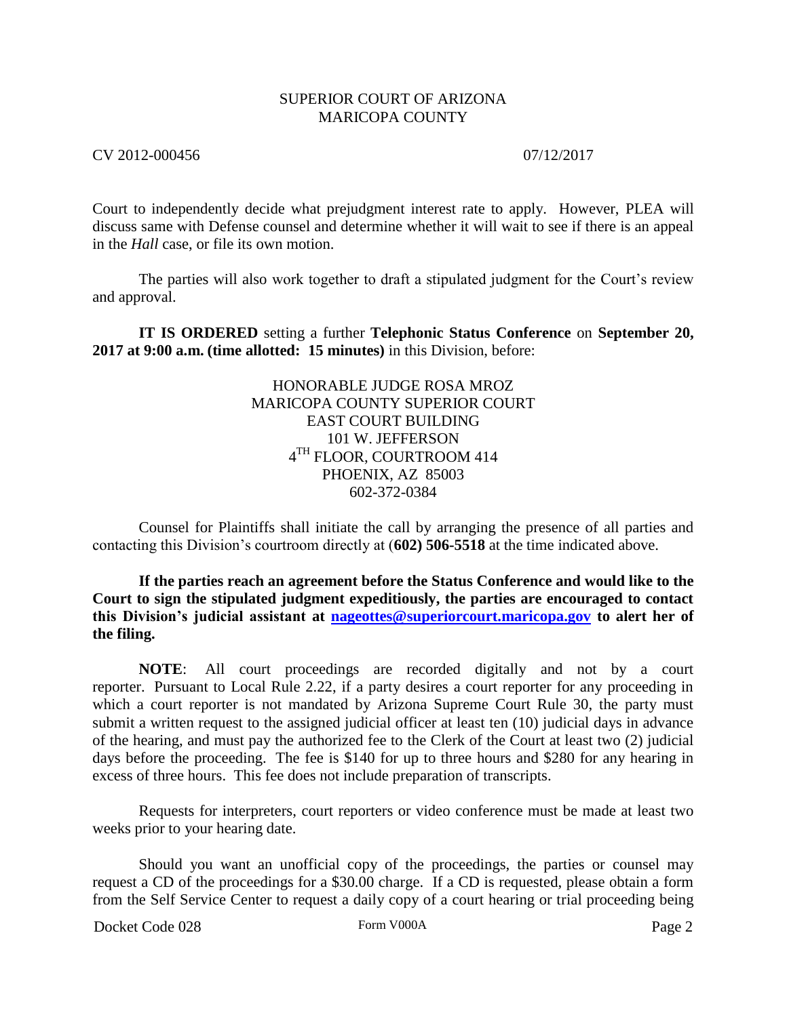### SUPERIOR COURT OF ARIZONA MARICOPA COUNTY

CV 2012-000456 07/12/2017

Court to independently decide what prejudgment interest rate to apply. However, PLEA will discuss same with Defense counsel and determine whether it will wait to see if there is an appeal in the *Hall* case, or file its own motion.

The parties will also work together to draft a stipulated judgment for the Court's review and approval.

**IT IS ORDERED** setting a further **Telephonic Status Conference** on **September 20, 2017 at 9:00 a.m. (time allotted: 15 minutes)** in this Division, before:

> HONORABLE JUDGE ROSA MROZ MARICOPA COUNTY SUPERIOR COURT EAST COURT BUILDING 101 W. JEFFERSON  $4^{\mathrm{TH}}$  FLOOR, COURTROOM 414 PHOENIX, AZ 85003 602-372-0384

Counsel for Plaintiffs shall initiate the call by arranging the presence of all parties and contacting this Division's courtroom directly at (**602) 506-5518** at the time indicated above.

**If the parties reach an agreement before the Status Conference and would like to the Court to sign the stipulated judgment expeditiously, the parties are encouraged to contact this Division's judicial assistant at [nageottes@superiorcourt.maricopa.gov](mailto:nageottes@superiorcourt.maricopa.gov) to alert her of the filing.** 

**NOTE**: All court proceedings are recorded digitally and not by a court reporter. Pursuant to Local Rule 2.22, if a party desires a court reporter for any proceeding in which a court reporter is not mandated by Arizona Supreme Court Rule 30, the party must submit a written request to the assigned judicial officer at least ten (10) judicial days in advance of the hearing, and must pay the authorized fee to the Clerk of the Court at least two (2) judicial days before the proceeding. The fee is \$140 for up to three hours and \$280 for any hearing in excess of three hours. This fee does not include preparation of transcripts.

Requests for interpreters, court reporters or video conference must be made at least two weeks prior to your hearing date.

Should you want an unofficial copy of the proceedings, the parties or counsel may request a CD of the proceedings for a \$30.00 charge. If a CD is requested, please obtain a form from the Self Service Center to request a daily copy of a court hearing or trial proceeding being

Docket Code 028 Form V000A Form V000A Page 2